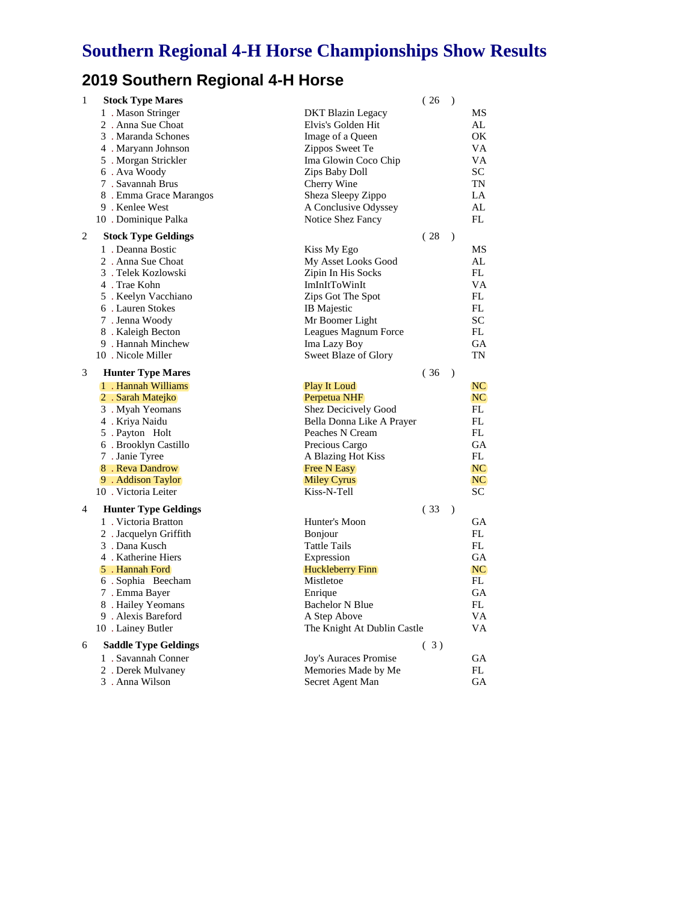## **2019 Southern Regional 4-H Horse**

| 1 | <b>Stock Type Mares</b>     |                             | (26) | $\mathcal{E}$ |           |
|---|-----------------------------|-----------------------------|------|---------------|-----------|
|   | 1. Mason Stringer           | <b>DKT Blazin Legacy</b>    |      |               | MS        |
|   | 2. Anna Sue Choat           | Elvis's Golden Hit          |      |               | AL        |
|   | 3. Maranda Schones          | Image of a Queen            |      |               | OK        |
|   | 4. Maryann Johnson          | Zippos Sweet Te             |      |               | VA        |
|   | 5 . Morgan Strickler        | Ima Glowin Coco Chip        |      |               | VA        |
|   | 6. Ava Woody                | Zips Baby Doll              |      |               | <b>SC</b> |
|   | 7 . Savannah Brus           | Cherry Wine                 |      |               | TN        |
|   | 8. Emma Grace Marangos      | Sheza Sleepy Zippo          |      |               | LA        |
|   | 9 . Kenlee West             | A Conclusive Odyssey        |      |               | AL        |
|   | 10 . Dominique Palka        | Notice Shez Fancy           |      |               | FL        |
| 2 | <b>Stock Type Geldings</b>  |                             | (28) | $\mathcal{E}$ |           |
|   | 1. Deanna Bostic            | Kiss My Ego                 |      |               | MS        |
|   | 2. Anna Sue Choat           | My Asset Looks Good         |      |               | AL        |
|   | 3. Telek Kozlowski          | Zipin In His Socks          |      |               | FL        |
|   | 4. Trae Kohn                | ImInItToWinIt               |      |               | VA        |
|   | 5. Keelyn Vacchiano         | Zips Got The Spot           |      |               | FL        |
|   | 6. Lauren Stokes            | <b>IB</b> Majestic          |      |               | FL        |
|   | 7. Jenna Woody              | Mr Boomer Light             |      |               | <b>SC</b> |
|   | 8. Kaleigh Becton           | Leagues Magnum Force        |      |               | FL.       |
|   | 9. Hannah Minchew           | Ima Lazy Boy                |      |               | <b>GA</b> |
|   | 10. Nicole Miller           | Sweet Blaze of Glory        |      |               | TN        |
| 3 | <b>Hunter Type Mares</b>    |                             | (36) | $\lambda$     |           |
|   | 1. Hannah Williams          | <b>Play It Loud</b>         |      |               | NC.       |
|   | 2. Sarah Matejko            | Perpetua NHF                |      |               | NC        |
|   | 3. Myah Yeomans             | <b>Shez Decicively Good</b> |      |               | FL        |
|   | 4 . Kriya Naidu             | Bella Donna Like A Prayer   |      |               | FL        |
|   | 5 . Payton Holt             | Peaches N Cream             |      |               | FL        |
|   | 6 . Brooklyn Castillo       | Precious Cargo              |      |               | <b>GA</b> |
|   | 7 . Janie Tyree             | A Blazing Hot Kiss          |      |               | FL.       |
|   | 8. Reva Dandrow             | <b>Free N Easy</b>          |      |               | NC.       |
|   | 9 . Addison Taylor          | <b>Miley Cyrus</b>          |      |               | NC.       |
|   | 10. Victoria Leiter         | Kiss-N-Tell                 |      |               | SC.       |
| 4 | <b>Hunter Type Geldings</b> |                             | (33) | $\lambda$     |           |
|   | 1. Victoria Bratton         | Hunter's Moon               |      |               | <b>GA</b> |
|   | 2. Jacquelyn Griffith       | <b>Bonjour</b>              |      |               | FL        |
|   | 3. Dana Kusch               | <b>Tattle Tails</b>         |      |               | FL        |
|   | 4. Katherine Hiers          | Expression                  |      |               | GА        |
|   | 5. Hannah Ford              | <b>Huckleberry Finn</b>     |      |               | NC.       |
|   | 6 . Sophia Beecham          | Mistletoe                   |      |               | FL        |
|   | 7. Emma Bayer               | Enrique                     |      |               | <b>GA</b> |
|   | 8 . Hailey Yeomans          | <b>Bachelor N Blue</b>      |      |               | FL        |
|   | 9. Alexis Bareford          | A Step Above                |      |               | <b>VA</b> |
|   | 10 . Lainey Butler          | The Knight At Dublin Castle |      |               | VA.       |
| 6 | <b>Saddle Type Geldings</b> |                             | (3)  |               |           |
|   | 1. Savannah Conner          | Joy's Auraces Promise       |      |               | GA        |
|   | 2. Derek Mulvaney           | Memories Made by Me         |      |               | FL        |
|   | 3. Anna Wilson              | Secret Agent Man            |      |               | <b>GA</b> |
|   |                             |                             |      |               |           |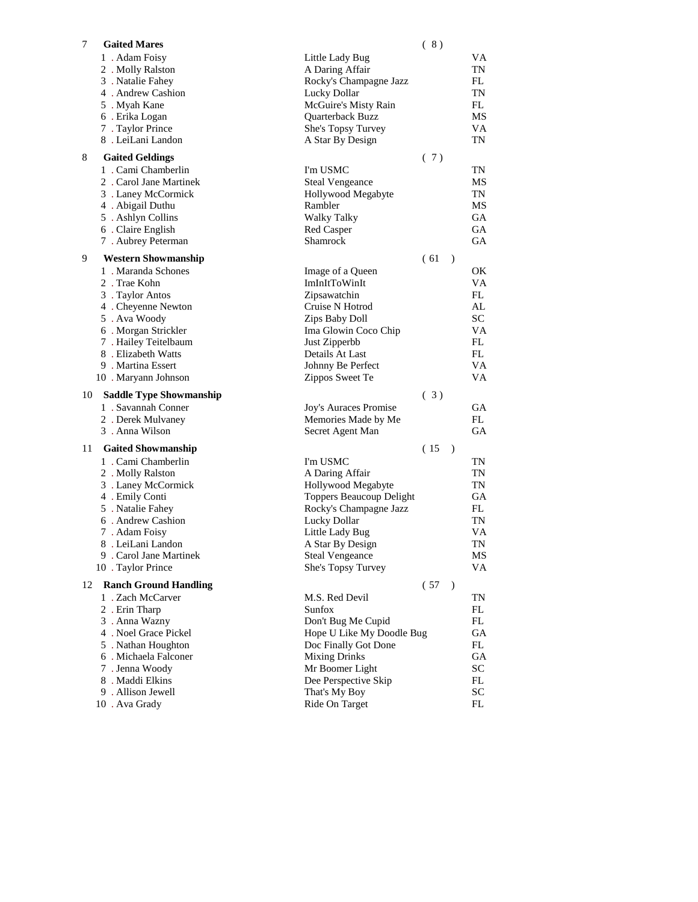| 7  | <b>Gaited Mares</b>                  |                                         | (8)  |               |                        |
|----|--------------------------------------|-----------------------------------------|------|---------------|------------------------|
|    | 1. Adam Foisy                        | Little Lady Bug                         |      |               | VA                     |
|    | 2. Molly Ralston                     | A Daring Affair                         |      |               | TN                     |
|    | 3. Natalie Fahey                     | Rocky's Champagne Jazz                  |      |               | FL                     |
|    | 4 . Andrew Cashion                   | Lucky Dollar                            |      |               | TN                     |
|    | 5 . Myah Kane                        | McGuire's Misty Rain                    |      |               | FL                     |
|    | 6. Erika Logan                       | Quarterback Buzz                        |      |               | MS                     |
|    | 7 . Taylor Prince                    | She's Topsy Turvey                      |      |               | <b>VA</b>              |
|    | 8. LeiLani Landon                    | A Star By Design                        |      |               | TN                     |
| 8  | <b>Gaited Geldings</b>               |                                         | (7)  |               |                        |
|    | 1. Cami Chamberlin                   | I'm USMC                                |      |               | TN                     |
|    | 2. Carol Jane Martinek               | <b>Steal Vengeance</b>                  |      |               | MS                     |
|    | 3 . Laney McCormick                  | Hollywood Megabyte                      |      |               | TN                     |
|    | 4 . Abigail Duthu                    | Rambler                                 |      |               | MS                     |
|    | 5. Ashlyn Collins                    | <b>Walky Talky</b>                      |      |               | GА                     |
|    | 6 . Claire English                   | Red Casper                              |      |               | GА                     |
|    | 7. Aubrey Peterman                   | Shamrock                                |      |               | GA                     |
| 9  | <b>Western Showmanship</b>           |                                         | (61) | $\mathcal{L}$ |                        |
|    | 1. Maranda Schones                   | Image of a Queen                        |      |               | ОK                     |
|    | 2. Trae Kohn                         | ImInItToWinIt                           |      |               | VA                     |
|    | 3 . Taylor Antos                     | Zipsawatchin                            |      |               | FL                     |
|    | 4 . Cheyenne Newton                  | Cruise N Hotrod                         |      |               | AL                     |
|    | 5. Ava Woody                         | Zips Baby Doll                          |      |               | <b>SC</b>              |
|    | 6 . Morgan Strickler                 | Ima Glowin Coco Chip                    |      |               | VA                     |
|    | 7 . Hailey Teitelbaum                | Just Zipperbb                           |      |               | FL                     |
|    | 8. Elizabeth Watts                   | Details At Last                         |      |               | FL                     |
|    | 9. Martina Essert                    | Johnny Be Perfect                       |      |               | VA                     |
|    | 10 . Maryann Johnson                 | Zippos Sweet Te                         |      |               | VA                     |
| 10 | <b>Saddle Type Showmanship</b>       |                                         | (3)  |               |                        |
|    | 1. Savannah Conner                   | Joy's Auraces Promise                   |      |               | GА                     |
|    | 2. Derek Mulvaney                    | Memories Made by Me                     |      |               | FL                     |
|    | 3. Anna Wilson                       | Secret Agent Man                        |      |               | GA                     |
| 11 | <b>Gaited Showmanship</b>            |                                         | (15) | $\lambda$     |                        |
|    | 1. Cami Chamberlin                   | I'm USMC                                |      |               | TN                     |
|    | 2. Molly Ralston                     | A Daring Affair                         |      |               | TN                     |
|    | 3 . Laney McCormick                  | Hollywood Megabyte                      |      |               | TN                     |
|    | 4 . Emily Conti                      | <b>Toppers Beaucoup Delight</b>         |      |               | GА                     |
|    | 5. Natalie Fahey                     | Rocky's Champagne Jazz                  |      |               | FL                     |
|    | 6. Andrew Cashion                    | Lucky Dollar                            |      |               | $\mathbf{T}\mathbf{N}$ |
|    | 7. Adam Foisy                        | Little Lady Bug                         |      |               | VA                     |
|    | 8. LeiLani Landon                    | A Star By Design                        |      |               | TN                     |
|    | 9 . Carol Jane Martinek              | <b>Steal Vengeance</b>                  |      |               | MS                     |
|    | 10 . Taylor Prince                   | She's Topsy Turvey                      |      |               | VA                     |
| 12 | <b>Ranch Ground Handling</b>         |                                         | (57) | $\lambda$     |                        |
|    | 1. Zach McCarver                     | M.S. Red Devil                          |      |               | TN                     |
|    | 2. Erin Tharp                        | Sunfox                                  |      |               | FL                     |
|    | 3. Anna Wazny                        | Don't Bug Me Cupid                      |      |               | FL                     |
|    | 4 . Noel Grace Pickel                | Hope U Like My Doodle Bug               |      |               | GA                     |
|    | 5 . Nathan Houghton                  | Doc Finally Got Done                    |      |               | FL                     |
|    | 6. Michaela Falconer                 | <b>Mixing Drinks</b>                    |      |               | GA                     |
|    | 7. Jenna Woody                       | Mr Boomer Light<br>Dee Perspective Skip |      |               | SC                     |
|    | 8. Maddi Elkins<br>9. Allison Jewell | That's My Boy                           |      |               | FL<br>SC               |
|    | 10 . Ava Grady                       | Ride On Target                          |      |               | FL                     |
|    |                                      |                                         |      |               |                        |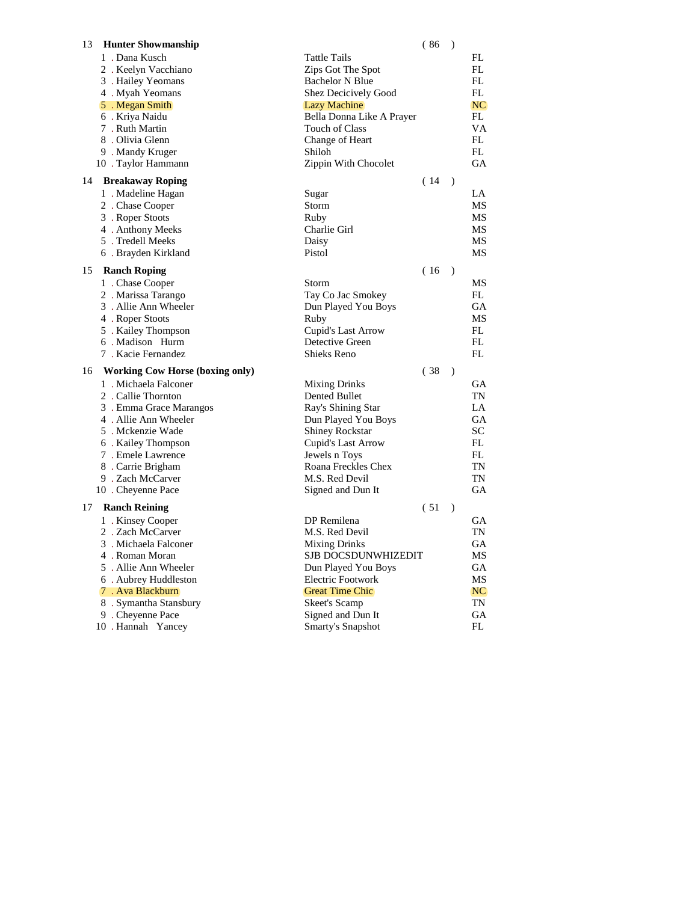| 13<br><b>Hunter Showmanship</b>                |                                           | (86)<br>$\rightarrow$ |           |
|------------------------------------------------|-------------------------------------------|-----------------------|-----------|
| 1. Dana Kusch                                  | <b>Tattle Tails</b>                       |                       | FL        |
| 2. Keelyn Vacchiano                            | Zips Got The Spot                         |                       | FL        |
| 3. Hailey Yeomans                              | <b>Bachelor N Blue</b>                    |                       | <b>FL</b> |
| 4. Myah Yeomans                                | Shez Decicively Good                      |                       | FL        |
| 5. Megan Smith                                 | <b>Lazy Machine</b>                       |                       | NC        |
| 6 . Kriya Naidu                                | Bella Donna Like A Prayer                 |                       | FL        |
| 7. Ruth Martin                                 | Touch of Class                            |                       | VA        |
| 8. Olivia Glenn                                | Change of Heart                           |                       | FL.       |
| 9. Mandy Kruger                                | Shiloh                                    |                       | FL        |
| 10 . Taylor Hammann                            | Zippin With Chocolet                      |                       | <b>GA</b> |
| <b>Breakaway Roping</b><br>14                  |                                           | (14)<br>$\lambda$     |           |
|                                                |                                           |                       |           |
| 1 . Madeline Hagan                             | Sugar                                     |                       | LA        |
| 2. Chase Cooper                                | Storm                                     |                       | MS        |
| 3. Roper Stoots                                | Ruby                                      |                       | MS        |
| 4. Anthony Meeks                               | Charlie Girl                              |                       | MS        |
| 5. Tredell Meeks                               | Daisy                                     |                       | MS        |
| 6. Brayden Kirkland                            | Pistol                                    |                       | MS        |
| 15<br><b>Ranch Roping</b>                      |                                           | (16)<br>$\rightarrow$ |           |
| 1. Chase Cooper                                | Storm                                     |                       | MS        |
| 2. Marissa Tarango                             | Tay Co Jac Smokey                         |                       | FL        |
| 3. Allie Ann Wheeler                           | Dun Played You Boys                       |                       | GА        |
| 4. Roper Stoots                                | Ruby                                      |                       | MS        |
| 5. Kailey Thompson                             | Cupid's Last Arrow                        |                       | FL        |
| 6 . Madison Hurm                               | Detective Green                           |                       | FL.       |
| 7. Kacie Fernandez                             | <b>Shieks Reno</b>                        |                       | FL.       |
| <b>Working Cow Horse (boxing only)</b><br>16   |                                           | (38)                  | $\lambda$ |
| 1. Michaela Falconer                           |                                           |                       | GА        |
|                                                | <b>Mixing Drinks</b>                      |                       | TN        |
| 2. Callie Thornton                             | Dented Bullet                             |                       | LA        |
| 3. Emma Grace Marangos<br>4. Allie Ann Wheeler | Ray's Shining Star<br>Dun Played You Boys |                       | GА        |
|                                                |                                           |                       |           |
| 5. Mckenzie Wade                               | <b>Shiney Rockstar</b>                    |                       | SС        |
| 6. Kailey Thompson                             | Cupid's Last Arrow                        |                       | FL<br>FL  |
| 7. Emele Lawrence                              | Jewels n Toys                             |                       |           |
| 8. Carrie Brigham                              | Roana Freckles Chex                       |                       | TN        |
| 9. Zach McCarver                               | M.S. Red Devil                            |                       | TN        |
| 10 . Cheyenne Pace                             | Signed and Dun It                         |                       | GA        |
| <b>Ranch Reining</b><br>17                     |                                           | (51)                  | $\lambda$ |
| 1. Kinsey Cooper                               | DP Remilena                               |                       | GА        |
| 2. Zach McCarver                               | M.S. Red Devil                            |                       | TN        |
| 3. Michaela Falconer                           | <b>Mixing Drinks</b>                      |                       | GА        |
| 4. Roman Moran                                 | SJB DOCSDUNWHIZEDIT                       |                       | MS        |
| 5. Allie Ann Wheeler                           | Dun Played You Boys                       |                       | GА        |
| 6. Aubrey Huddleston                           | Electric Footwork                         |                       | MS        |
| 7. Ava Blackburn                               | <b>Great Time Chic</b>                    |                       | NC        |
| 8. Symantha Stansbury                          | Skeet's Scamp                             |                       | TN        |
| 9. Cheyenne Pace                               | Signed and Dun It                         |                       | GА        |
|                                                |                                           |                       |           |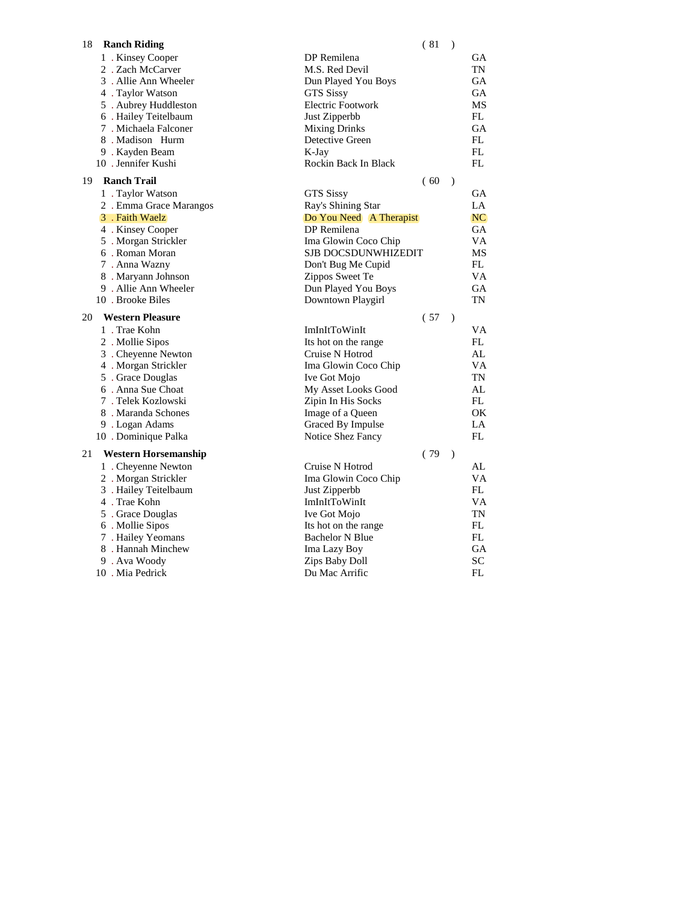| 18<br><b>Ranch Riding</b>                  | (81)                                    | $\lambda$     |           |
|--------------------------------------------|-----------------------------------------|---------------|-----------|
| 1 . Kinsey Cooper                          | DP Remilena                             |               | GА        |
| 2. Zach McCarver                           | M.S. Red Devil                          |               | TN        |
| 3. Allie Ann Wheeler                       | Dun Played You Boys                     |               | GA        |
| 4 . Taylor Watson                          | <b>GTS Sissy</b>                        |               | <b>GA</b> |
| 5 . Aubrey Huddleston                      | <b>Electric Footwork</b>                |               | MS        |
| 6 . Hailey Teitelbaum                      | Just Zipperbb                           |               | FL        |
| 7. Michaela Falconer                       | <b>Mixing Drinks</b>                    |               | <b>GA</b> |
| 8. Madison Hurm                            | Detective Green                         |               | FL        |
| 9. Kayden Beam                             | K-Jay                                   |               | FL.       |
| 10 . Jennifer Kushi                        | Rockin Back In Black                    |               | FL        |
| 19<br><b>Ranch Trail</b>                   | (60)                                    | $\mathcal{L}$ |           |
| 1. Taylor Watson                           | <b>GTS Sissy</b>                        |               | GA        |
| 2. Emma Grace Marangos                     | Ray's Shining Star                      |               | LA        |
| 3 . Faith Waelz                            | Do You Need A Therapist                 |               | NC.       |
| 4 . Kinsey Cooper                          | DP Remilena                             |               | <b>GA</b> |
| 5 . Morgan Strickler                       | Ima Glowin Coco Chip                    |               | VA        |
| 6. Roman Moran                             | <b>SJB DOCSDUNWHIZEDIT</b>              |               | MS        |
| 7. Anna Wazny                              | Don't Bug Me Cupid                      |               | FL        |
| 8. Maryann Johnson                         | Zippos Sweet Te                         |               | VA        |
| 9. Allie Ann Wheeler                       | Dun Played You Boys                     |               | GА        |
| 10. Brooke Biles                           | Downtown Playgirl                       |               | TN        |
|                                            |                                         |               |           |
| <b>Western Pleasure</b><br>20              | (57)                                    | $\rightarrow$ |           |
| 1. Trae Kohn                               | ImInItToWinIt                           |               | VA        |
|                                            |                                         |               | FL.       |
| 2. Mollie Sipos                            | Its hot on the range<br>Cruise N Hotrod |               | AL        |
| 3 . Cheyenne Newton                        |                                         |               | VA        |
| 4 . Morgan Strickler<br>5 . Grace Douglas  | Ima Glowin Coco Chip<br>Ive Got Mojo    |               | TN        |
| 6. Anna Sue Choat                          | My Asset Looks Good                     |               | AL        |
| 7. Telek Kozlowski                         | Zipin In His Socks                      |               | FL        |
| 8. Maranda Schones                         | Image of a Queen                        |               | OK        |
| 9. Logan Adams                             | Graced By Impulse                       |               | LA        |
| 10 . Dominique Palka                       | Notice Shez Fancy                       |               | FL.       |
| 21<br><b>Western Horsemanship</b>          | (79)                                    | $\rightarrow$ |           |
|                                            | Cruise N Hotrod                         |               | AL        |
| 1 . Cheyenne Newton<br>2. Morgan Strickler | Ima Glowin Coco Chip                    |               | VA        |
|                                            |                                         |               | FL        |
| 3 . Hailey Teitelbaum<br>4 . Trae Kohn     | Just Zipperbb                           |               | VА        |
| 5 . Grace Douglas                          | ImInItToWinIt<br>Ive Got Mojo           |               | TN        |
| 6 . Mollie Sipos                           | Its hot on the range                    |               | FL        |
| 7. Hailey Yeomans                          | <b>Bachelor N Blue</b>                  |               | FL        |
| 8. Hannah Minchew                          | Ima Lazy Boy                            |               | <b>GA</b> |
| 9. Ava Woody                               | Zips Baby Doll                          |               | SC        |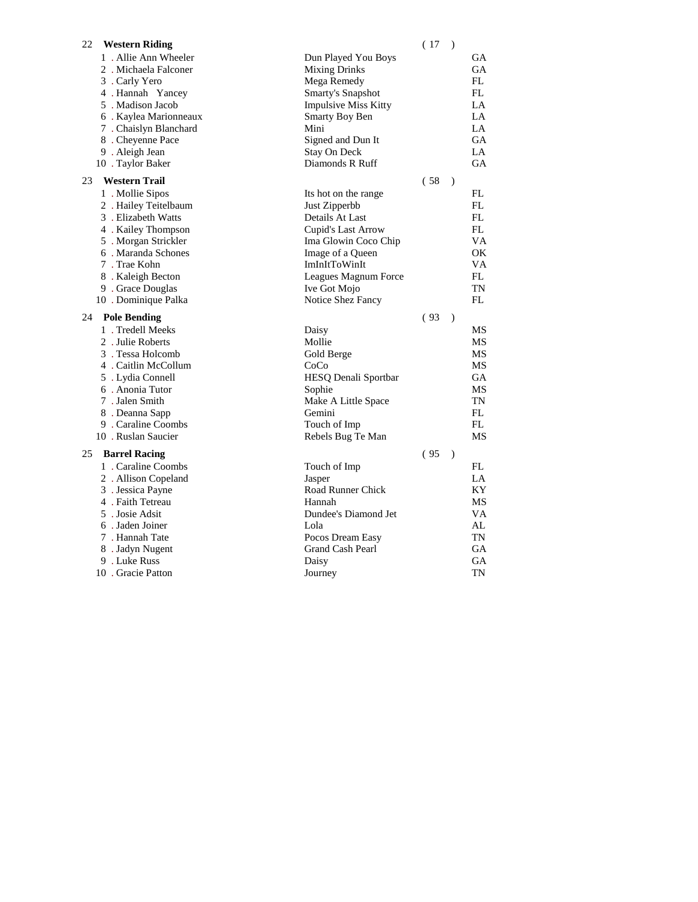| 1. Allie Ann Wheeler<br>Dun Played You Boys<br>GА<br><b>Mixing Drinks</b><br>GA<br>2. Michaela Falconer<br>Mega Remedy<br>FL<br>3. Carly Yero<br>4 . Hannah Yancey<br>Smarty's Snapshot<br>FL<br>5. Madison Jacob<br>LA<br><b>Impulsive Miss Kitty</b><br>6. Kaylea Marionneaux<br>LA<br><b>Smarty Boy Ben</b><br>7 . Chaislyn Blanchard<br>Mini<br>LA<br>8 . Cheyenne Pace<br>Signed and Dun It<br>GА<br>Stay On Deck<br>9. Aleigh Jean<br>LA<br>Diamonds R Ruff<br>GA<br>10 . Taylor Baker<br>23<br><b>Western Trail</b><br>(58)<br>$\lambda$<br>1 . Mollie Sipos<br>FL<br>Its hot on the range<br>FL<br>2. Hailey Teitelbaum<br>Just Zipperbb<br>3 . Elizabeth Watts<br>Details At Last<br>FL<br>Cupid's Last Arrow<br>FL<br>4 . Kailey Thompson<br>5 . Morgan Strickler<br>Ima Glowin Coco Chip<br>VA<br>6. Maranda Schones<br>OK<br>Image of a Queen<br>7. Trae Kohn<br>ImInItToWinIt<br>VA<br>8. Kaleigh Becton<br>Leagues Magnum Force<br>FL<br>9 . Grace Douglas<br>Ive Got Mojo<br>TN<br>FL<br>10 . Dominique Palka<br>Notice Shez Fancy |
|---------------------------------------------------------------------------------------------------------------------------------------------------------------------------------------------------------------------------------------------------------------------------------------------------------------------------------------------------------------------------------------------------------------------------------------------------------------------------------------------------------------------------------------------------------------------------------------------------------------------------------------------------------------------------------------------------------------------------------------------------------------------------------------------------------------------------------------------------------------------------------------------------------------------------------------------------------------------------------------------------------------------------------------------------|
|                                                                                                                                                                                                                                                                                                                                                                                                                                                                                                                                                                                                                                                                                                                                                                                                                                                                                                                                                                                                                                                   |
|                                                                                                                                                                                                                                                                                                                                                                                                                                                                                                                                                                                                                                                                                                                                                                                                                                                                                                                                                                                                                                                   |
|                                                                                                                                                                                                                                                                                                                                                                                                                                                                                                                                                                                                                                                                                                                                                                                                                                                                                                                                                                                                                                                   |
|                                                                                                                                                                                                                                                                                                                                                                                                                                                                                                                                                                                                                                                                                                                                                                                                                                                                                                                                                                                                                                                   |
|                                                                                                                                                                                                                                                                                                                                                                                                                                                                                                                                                                                                                                                                                                                                                                                                                                                                                                                                                                                                                                                   |
|                                                                                                                                                                                                                                                                                                                                                                                                                                                                                                                                                                                                                                                                                                                                                                                                                                                                                                                                                                                                                                                   |
|                                                                                                                                                                                                                                                                                                                                                                                                                                                                                                                                                                                                                                                                                                                                                                                                                                                                                                                                                                                                                                                   |
|                                                                                                                                                                                                                                                                                                                                                                                                                                                                                                                                                                                                                                                                                                                                                                                                                                                                                                                                                                                                                                                   |
|                                                                                                                                                                                                                                                                                                                                                                                                                                                                                                                                                                                                                                                                                                                                                                                                                                                                                                                                                                                                                                                   |
|                                                                                                                                                                                                                                                                                                                                                                                                                                                                                                                                                                                                                                                                                                                                                                                                                                                                                                                                                                                                                                                   |
|                                                                                                                                                                                                                                                                                                                                                                                                                                                                                                                                                                                                                                                                                                                                                                                                                                                                                                                                                                                                                                                   |
|                                                                                                                                                                                                                                                                                                                                                                                                                                                                                                                                                                                                                                                                                                                                                                                                                                                                                                                                                                                                                                                   |
|                                                                                                                                                                                                                                                                                                                                                                                                                                                                                                                                                                                                                                                                                                                                                                                                                                                                                                                                                                                                                                                   |
|                                                                                                                                                                                                                                                                                                                                                                                                                                                                                                                                                                                                                                                                                                                                                                                                                                                                                                                                                                                                                                                   |
|                                                                                                                                                                                                                                                                                                                                                                                                                                                                                                                                                                                                                                                                                                                                                                                                                                                                                                                                                                                                                                                   |
|                                                                                                                                                                                                                                                                                                                                                                                                                                                                                                                                                                                                                                                                                                                                                                                                                                                                                                                                                                                                                                                   |
|                                                                                                                                                                                                                                                                                                                                                                                                                                                                                                                                                                                                                                                                                                                                                                                                                                                                                                                                                                                                                                                   |
|                                                                                                                                                                                                                                                                                                                                                                                                                                                                                                                                                                                                                                                                                                                                                                                                                                                                                                                                                                                                                                                   |
|                                                                                                                                                                                                                                                                                                                                                                                                                                                                                                                                                                                                                                                                                                                                                                                                                                                                                                                                                                                                                                                   |
|                                                                                                                                                                                                                                                                                                                                                                                                                                                                                                                                                                                                                                                                                                                                                                                                                                                                                                                                                                                                                                                   |
|                                                                                                                                                                                                                                                                                                                                                                                                                                                                                                                                                                                                                                                                                                                                                                                                                                                                                                                                                                                                                                                   |
| (93)<br>24<br><b>Pole Bending</b><br>$\rightarrow$                                                                                                                                                                                                                                                                                                                                                                                                                                                                                                                                                                                                                                                                                                                                                                                                                                                                                                                                                                                                |
| 1. Tredell Meeks<br>Daisy<br>MS                                                                                                                                                                                                                                                                                                                                                                                                                                                                                                                                                                                                                                                                                                                                                                                                                                                                                                                                                                                                                   |
| 2. Julie Roberts<br>Mollie<br>MS                                                                                                                                                                                                                                                                                                                                                                                                                                                                                                                                                                                                                                                                                                                                                                                                                                                                                                                                                                                                                  |
| 3. Tessa Holcomb<br>Gold Berge<br>MS                                                                                                                                                                                                                                                                                                                                                                                                                                                                                                                                                                                                                                                                                                                                                                                                                                                                                                                                                                                                              |
| 4. Caitlin McCollum<br>MS<br>CoCo                                                                                                                                                                                                                                                                                                                                                                                                                                                                                                                                                                                                                                                                                                                                                                                                                                                                                                                                                                                                                 |
| 5 . Lydia Connell<br>HESQ Denali Sportbar<br>GA                                                                                                                                                                                                                                                                                                                                                                                                                                                                                                                                                                                                                                                                                                                                                                                                                                                                                                                                                                                                   |
| 6. Anonia Tutor<br>Sophie<br>MS<br>7. Jalen Smith<br>TN                                                                                                                                                                                                                                                                                                                                                                                                                                                                                                                                                                                                                                                                                                                                                                                                                                                                                                                                                                                           |
| Make A Little Space<br>8. Deanna Sapp<br>FL<br>Gemini                                                                                                                                                                                                                                                                                                                                                                                                                                                                                                                                                                                                                                                                                                                                                                                                                                                                                                                                                                                             |
| 9 . Caraline Coombs<br>FL<br>Touch of Imp                                                                                                                                                                                                                                                                                                                                                                                                                                                                                                                                                                                                                                                                                                                                                                                                                                                                                                                                                                                                         |
| 10 . Ruslan Saucier<br>MS<br>Rebels Bug Te Man                                                                                                                                                                                                                                                                                                                                                                                                                                                                                                                                                                                                                                                                                                                                                                                                                                                                                                                                                                                                    |
|                                                                                                                                                                                                                                                                                                                                                                                                                                                                                                                                                                                                                                                                                                                                                                                                                                                                                                                                                                                                                                                   |
| <b>Barrel Racing</b><br>(95)<br>25<br>$\mathcal{E}$                                                                                                                                                                                                                                                                                                                                                                                                                                                                                                                                                                                                                                                                                                                                                                                                                                                                                                                                                                                               |
| 1. Caraline Coombs<br>FL<br>Touch of Imp<br>LA                                                                                                                                                                                                                                                                                                                                                                                                                                                                                                                                                                                                                                                                                                                                                                                                                                                                                                                                                                                                    |
| 2. Allison Copeland<br>Jasper<br>Road Runner Chick<br>ΚY                                                                                                                                                                                                                                                                                                                                                                                                                                                                                                                                                                                                                                                                                                                                                                                                                                                                                                                                                                                          |
| 3. Jessica Payne<br>4 . Faith Tetreau<br>Hannah<br>MS                                                                                                                                                                                                                                                                                                                                                                                                                                                                                                                                                                                                                                                                                                                                                                                                                                                                                                                                                                                             |
| 5. Josie Adsit<br>Dundee's Diamond Jet<br>VA                                                                                                                                                                                                                                                                                                                                                                                                                                                                                                                                                                                                                                                                                                                                                                                                                                                                                                                                                                                                      |
| 6. Jaden Joiner<br>Lola<br>AL                                                                                                                                                                                                                                                                                                                                                                                                                                                                                                                                                                                                                                                                                                                                                                                                                                                                                                                                                                                                                     |
| 7. Hannah Tate<br>Pocos Dream Easy<br>TN                                                                                                                                                                                                                                                                                                                                                                                                                                                                                                                                                                                                                                                                                                                                                                                                                                                                                                                                                                                                          |
| 8. Jadyn Nugent<br>Grand Cash Pearl<br>GА                                                                                                                                                                                                                                                                                                                                                                                                                                                                                                                                                                                                                                                                                                                                                                                                                                                                                                                                                                                                         |
| 9. Luke Russ<br>GA<br>Daisy                                                                                                                                                                                                                                                                                                                                                                                                                                                                                                                                                                                                                                                                                                                                                                                                                                                                                                                                                                                                                       |
| 10 . Gracie Patton<br>TN<br>Journey                                                                                                                                                                                                                                                                                                                                                                                                                                                                                                                                                                                                                                                                                                                                                                                                                                                                                                                                                                                                               |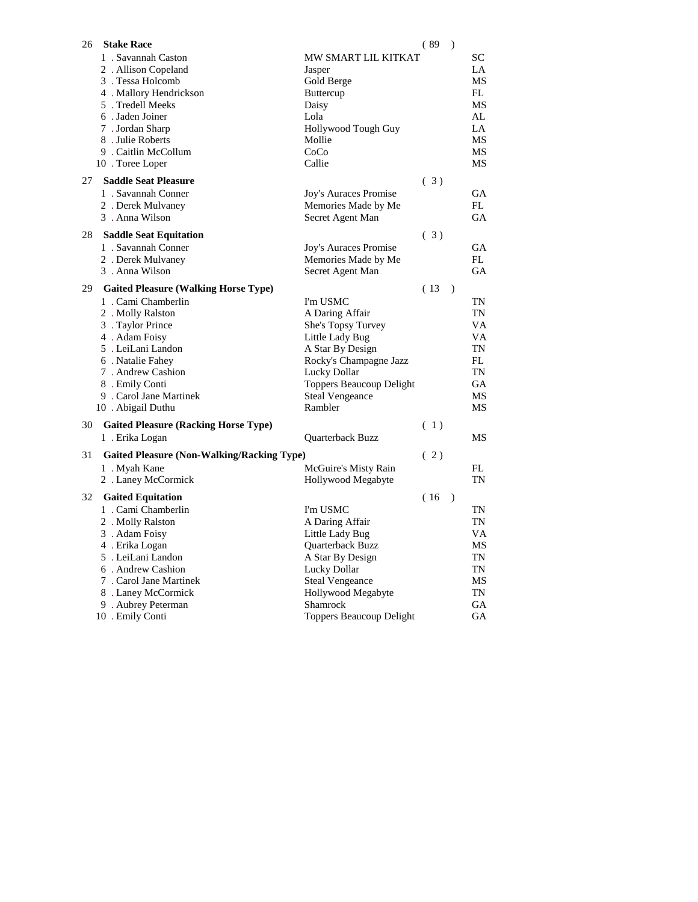| 26 | <b>Stake Race</b>                                 |                          | (89) | $\lambda$ |     |
|----|---------------------------------------------------|--------------------------|------|-----------|-----|
|    | 1. Savannah Caston                                | MW SMART LIL KITKAT      |      |           | SС  |
|    | 2. Allison Copeland                               | Jasper                   |      |           | LA  |
|    | 3. Tessa Holcomb                                  | Gold Berge               |      |           | MS  |
|    | 4. Mallory Hendrickson                            | Buttercup                |      |           | FL  |
|    | 5. Tredell Meeks                                  | Daisy                    |      |           | MS  |
|    | 6. Jaden Joiner                                   | Lola                     |      |           | AL  |
|    | 7. Jordan Sharp                                   | Hollywood Tough Guy      |      |           | LA  |
|    | 8. Julie Roberts                                  | Mollie                   |      |           | MS  |
|    | 9. Caitlin McCollum                               | CoCo                     |      |           | MS  |
|    | 10 . Toree Loper                                  | Callie                   |      |           | MS  |
|    |                                                   |                          |      |           |     |
| 27 | <b>Saddle Seat Pleasure</b>                       |                          | (3)  |           |     |
|    | 1. Savannah Conner                                | Joy's Auraces Promise    |      |           | GA  |
|    | 2. Derek Mulvaney                                 | Memories Made by Me      |      |           | FL. |
|    | 3. Anna Wilson                                    | Secret Agent Man         |      |           | GА  |
| 28 | <b>Saddle Seat Equitation</b>                     |                          | (3)  |           |     |
|    | 1. Savannah Conner                                | Joy's Auraces Promise    |      |           | GА  |
|    | 2. Derek Mulvaney                                 | Memories Made by Me      |      |           | FL  |
|    | 3. Anna Wilson                                    | Secret Agent Man         |      |           | GA  |
|    |                                                   |                          |      |           |     |
| 29 | <b>Gaited Pleasure (Walking Horse Type)</b>       |                          | (13) | $\lambda$ |     |
|    | 1. Cami Chamberlin                                | I'm USMC                 |      |           | TN  |
|    | 2. Molly Ralston                                  | A Daring Affair          |      |           | TN  |
|    | 3 . Taylor Prince                                 | She's Topsy Turvey       |      |           | VA  |
|    | 4. Adam Foisy                                     | Little Lady Bug          |      |           | VA  |
|    | 5. LeiLani Landon                                 | A Star By Design         |      |           | TN  |
|    | 6. Natalie Fahey                                  | Rocky's Champagne Jazz   |      |           | FL  |
|    | 7. Andrew Cashion                                 | Lucky Dollar             |      |           | TN  |
|    | 8. Emily Conti                                    | Toppers Beaucoup Delight |      |           | GA  |
|    | 9 . Carol Jane Martinek                           | <b>Steal Vengeance</b>   |      |           | MS  |
|    | 10 . Abigail Duthu                                | Rambler                  |      |           | MS  |
| 30 | <b>Gaited Pleasure (Racking Horse Type)</b>       |                          | (1)  |           |     |
|    | 1. Erika Logan                                    |                          |      |           | MS  |
|    |                                                   | Quarterback Buzz         |      |           |     |
| 31 | <b>Gaited Pleasure (Non-Walking/Racking Type)</b> |                          | (2)  |           |     |
|    | 1. Myah Kane                                      | McGuire's Misty Rain     |      |           | FL  |
|    | 2 . Laney McCormick                               | Hollywood Megabyte       |      |           | TN  |
| 32 | <b>Gaited Equitation</b>                          |                          | (16  | $\lambda$ |     |
|    | 1. Cami Chamberlin                                | I'm USMC                 |      |           | TN  |
|    | 2 . Molly Ralston                                 |                          |      |           | TN  |
|    |                                                   | A Daring Affair          |      |           |     |
|    | 3. Adam Foisy                                     | Little Lady Bug          |      |           | VA  |
|    | 4. Erika Logan                                    | Quarterback Buzz         |      |           | MS  |
|    | 5 . LeiLani Landon                                | A Star By Design         |      |           | TN  |
|    | 6. Andrew Cashion                                 | Lucky Dollar             |      |           | TN  |
|    | 7. Carol Jane Martinek                            | <b>Steal Vengeance</b>   |      |           | MS  |
|    | 8 . Laney McCormick                               | Hollywood Megabyte       |      |           | TN  |
|    | 9. Aubrey Peterman                                | Shamrock                 |      |           | GA  |
|    | 10 . Emily Conti                                  | Toppers Beaucoup Delight |      |           | GA  |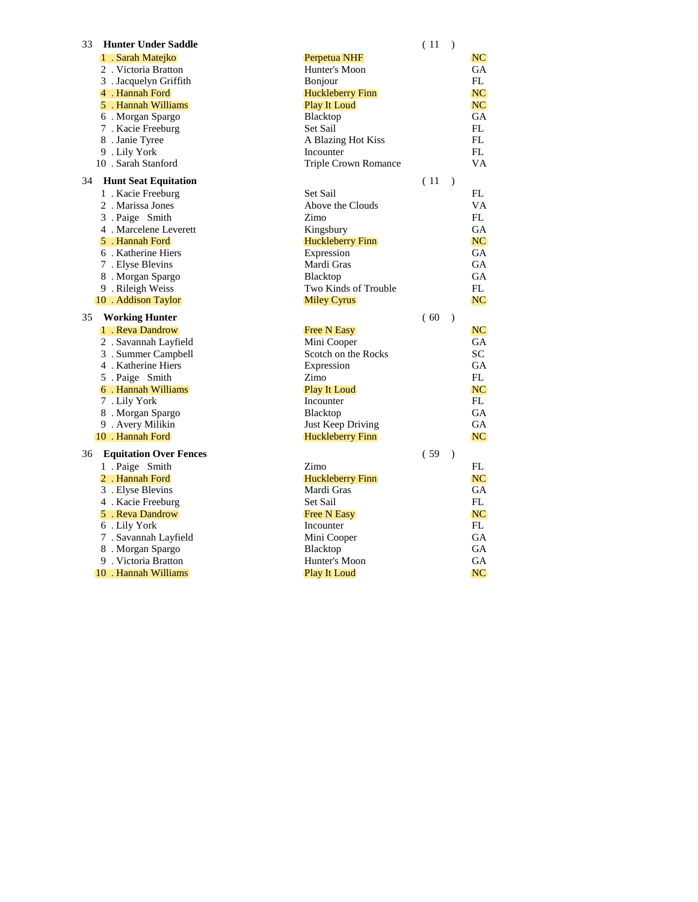| 1. Sarah Matejko<br>Perpetua NHF<br>NC.<br>2. Victoria Bratton<br>Hunter's Moon<br>GA<br>FL<br>3 . Jacquelyn Griffith<br>Bonjour<br>4 . Hannah Ford<br><b>Huckleberry Finn</b><br>NC.<br>5 . Hannah Williams<br><b>Play It Loud</b><br>NC.<br>GA<br>6. Morgan Spargo<br>Blacktop<br>7. Kacie Freeburg<br>Set Sail<br>FL<br>FL<br>A Blazing Hot Kiss<br>8 . Janie Tyree<br>FL<br>9. Lily York<br>Incounter<br>10 . Sarah Stanford<br>Triple Crown Romance<br>VA<br><b>Hunt Seat Equitation</b><br>(11)<br>34<br>$\rightarrow$<br>Set Sail<br>FL<br>1. Kacie Freeburg<br>Above the Clouds<br>VA<br>2. Marissa Jones<br>FL<br>3 . Paige Smith<br>Zimo<br>4. Marcelene Leverett<br>Kingsbury<br>GA<br>5 . Hannah Ford<br><b>Huckleberry Finn</b><br>NC.<br>6. Katherine Hiers<br>Expression<br><b>GA</b><br>7. Elyse Blevins<br>Mardi Gras<br>GА<br><b>GA</b><br>8. Morgan Spargo<br><b>Blacktop</b><br>9 . Rileigh Weiss<br>Two Kinds of Trouble<br>FL<br>NC.<br>10 . Addison Taylor<br>Miley Cyrus<br>35<br><b>Working Hunter</b><br>(60)<br>$\lambda$<br>1 . Reva Dandrow<br><b>Free N Easy</b><br>NC.<br>2. Savannah Layfield<br>Mini Cooper<br>GA<br><b>SC</b><br>3. Summer Campbell<br>Scotch on the Rocks<br>4. Katherine Hiers<br>Expression<br>GА<br>FL<br>5 . Paige Smith<br>Zimo<br>NC.<br>6. Hannah Williams<br><b>Play It Loud</b><br>Incounter<br>FL<br>7. Lily York<br>8. Morgan Spargo<br>Blacktop<br>GA<br>9. Avery Milikin<br>Just Keep Driving<br>GА<br>10 . Hannah Ford<br><b>NC</b><br><b>Huckleberry Finn</b><br><b>Equitation Over Fences</b><br>(59)<br>36<br>$\mathcal{L}$<br>1 . Paige Smith<br>Zimo<br>FL<br><b>NC</b><br>2. Hannah Ford<br>Huckleberry Finn<br>GA<br>Mardi Gras<br>3. Elyse Blevins<br>4 . Kacie Freeburg<br>Set Sail<br>FL<br>NC.<br>5 . Reva Dandrow<br><b>Free N Easy</b> |                       | (11)        | $\rightarrow$ |
|----------------------------------------------------------------------------------------------------------------------------------------------------------------------------------------------------------------------------------------------------------------------------------------------------------------------------------------------------------------------------------------------------------------------------------------------------------------------------------------------------------------------------------------------------------------------------------------------------------------------------------------------------------------------------------------------------------------------------------------------------------------------------------------------------------------------------------------------------------------------------------------------------------------------------------------------------------------------------------------------------------------------------------------------------------------------------------------------------------------------------------------------------------------------------------------------------------------------------------------------------------------------------------------------------------------------------------------------------------------------------------------------------------------------------------------------------------------------------------------------------------------------------------------------------------------------------------------------------------------------------------------------------------------------------------------------------------------------------------------------------------------------------------------------------------------------|-----------------------|-------------|---------------|
|                                                                                                                                                                                                                                                                                                                                                                                                                                                                                                                                                                                                                                                                                                                                                                                                                                                                                                                                                                                                                                                                                                                                                                                                                                                                                                                                                                                                                                                                                                                                                                                                                                                                                                                                                                                                                      |                       |             |               |
|                                                                                                                                                                                                                                                                                                                                                                                                                                                                                                                                                                                                                                                                                                                                                                                                                                                                                                                                                                                                                                                                                                                                                                                                                                                                                                                                                                                                                                                                                                                                                                                                                                                                                                                                                                                                                      |                       |             |               |
|                                                                                                                                                                                                                                                                                                                                                                                                                                                                                                                                                                                                                                                                                                                                                                                                                                                                                                                                                                                                                                                                                                                                                                                                                                                                                                                                                                                                                                                                                                                                                                                                                                                                                                                                                                                                                      |                       |             |               |
|                                                                                                                                                                                                                                                                                                                                                                                                                                                                                                                                                                                                                                                                                                                                                                                                                                                                                                                                                                                                                                                                                                                                                                                                                                                                                                                                                                                                                                                                                                                                                                                                                                                                                                                                                                                                                      |                       |             |               |
|                                                                                                                                                                                                                                                                                                                                                                                                                                                                                                                                                                                                                                                                                                                                                                                                                                                                                                                                                                                                                                                                                                                                                                                                                                                                                                                                                                                                                                                                                                                                                                                                                                                                                                                                                                                                                      |                       |             |               |
|                                                                                                                                                                                                                                                                                                                                                                                                                                                                                                                                                                                                                                                                                                                                                                                                                                                                                                                                                                                                                                                                                                                                                                                                                                                                                                                                                                                                                                                                                                                                                                                                                                                                                                                                                                                                                      |                       |             |               |
|                                                                                                                                                                                                                                                                                                                                                                                                                                                                                                                                                                                                                                                                                                                                                                                                                                                                                                                                                                                                                                                                                                                                                                                                                                                                                                                                                                                                                                                                                                                                                                                                                                                                                                                                                                                                                      |                       |             |               |
|                                                                                                                                                                                                                                                                                                                                                                                                                                                                                                                                                                                                                                                                                                                                                                                                                                                                                                                                                                                                                                                                                                                                                                                                                                                                                                                                                                                                                                                                                                                                                                                                                                                                                                                                                                                                                      |                       |             |               |
|                                                                                                                                                                                                                                                                                                                                                                                                                                                                                                                                                                                                                                                                                                                                                                                                                                                                                                                                                                                                                                                                                                                                                                                                                                                                                                                                                                                                                                                                                                                                                                                                                                                                                                                                                                                                                      |                       |             |               |
|                                                                                                                                                                                                                                                                                                                                                                                                                                                                                                                                                                                                                                                                                                                                                                                                                                                                                                                                                                                                                                                                                                                                                                                                                                                                                                                                                                                                                                                                                                                                                                                                                                                                                                                                                                                                                      |                       |             |               |
|                                                                                                                                                                                                                                                                                                                                                                                                                                                                                                                                                                                                                                                                                                                                                                                                                                                                                                                                                                                                                                                                                                                                                                                                                                                                                                                                                                                                                                                                                                                                                                                                                                                                                                                                                                                                                      |                       |             |               |
|                                                                                                                                                                                                                                                                                                                                                                                                                                                                                                                                                                                                                                                                                                                                                                                                                                                                                                                                                                                                                                                                                                                                                                                                                                                                                                                                                                                                                                                                                                                                                                                                                                                                                                                                                                                                                      |                       |             |               |
|                                                                                                                                                                                                                                                                                                                                                                                                                                                                                                                                                                                                                                                                                                                                                                                                                                                                                                                                                                                                                                                                                                                                                                                                                                                                                                                                                                                                                                                                                                                                                                                                                                                                                                                                                                                                                      |                       |             |               |
|                                                                                                                                                                                                                                                                                                                                                                                                                                                                                                                                                                                                                                                                                                                                                                                                                                                                                                                                                                                                                                                                                                                                                                                                                                                                                                                                                                                                                                                                                                                                                                                                                                                                                                                                                                                                                      |                       |             |               |
|                                                                                                                                                                                                                                                                                                                                                                                                                                                                                                                                                                                                                                                                                                                                                                                                                                                                                                                                                                                                                                                                                                                                                                                                                                                                                                                                                                                                                                                                                                                                                                                                                                                                                                                                                                                                                      |                       |             |               |
|                                                                                                                                                                                                                                                                                                                                                                                                                                                                                                                                                                                                                                                                                                                                                                                                                                                                                                                                                                                                                                                                                                                                                                                                                                                                                                                                                                                                                                                                                                                                                                                                                                                                                                                                                                                                                      |                       |             |               |
|                                                                                                                                                                                                                                                                                                                                                                                                                                                                                                                                                                                                                                                                                                                                                                                                                                                                                                                                                                                                                                                                                                                                                                                                                                                                                                                                                                                                                                                                                                                                                                                                                                                                                                                                                                                                                      |                       |             |               |
|                                                                                                                                                                                                                                                                                                                                                                                                                                                                                                                                                                                                                                                                                                                                                                                                                                                                                                                                                                                                                                                                                                                                                                                                                                                                                                                                                                                                                                                                                                                                                                                                                                                                                                                                                                                                                      |                       |             |               |
|                                                                                                                                                                                                                                                                                                                                                                                                                                                                                                                                                                                                                                                                                                                                                                                                                                                                                                                                                                                                                                                                                                                                                                                                                                                                                                                                                                                                                                                                                                                                                                                                                                                                                                                                                                                                                      |                       |             |               |
|                                                                                                                                                                                                                                                                                                                                                                                                                                                                                                                                                                                                                                                                                                                                                                                                                                                                                                                                                                                                                                                                                                                                                                                                                                                                                                                                                                                                                                                                                                                                                                                                                                                                                                                                                                                                                      |                       |             |               |
|                                                                                                                                                                                                                                                                                                                                                                                                                                                                                                                                                                                                                                                                                                                                                                                                                                                                                                                                                                                                                                                                                                                                                                                                                                                                                                                                                                                                                                                                                                                                                                                                                                                                                                                                                                                                                      |                       |             |               |
|                                                                                                                                                                                                                                                                                                                                                                                                                                                                                                                                                                                                                                                                                                                                                                                                                                                                                                                                                                                                                                                                                                                                                                                                                                                                                                                                                                                                                                                                                                                                                                                                                                                                                                                                                                                                                      |                       |             |               |
|                                                                                                                                                                                                                                                                                                                                                                                                                                                                                                                                                                                                                                                                                                                                                                                                                                                                                                                                                                                                                                                                                                                                                                                                                                                                                                                                                                                                                                                                                                                                                                                                                                                                                                                                                                                                                      |                       |             |               |
|                                                                                                                                                                                                                                                                                                                                                                                                                                                                                                                                                                                                                                                                                                                                                                                                                                                                                                                                                                                                                                                                                                                                                                                                                                                                                                                                                                                                                                                                                                                                                                                                                                                                                                                                                                                                                      |                       |             |               |
|                                                                                                                                                                                                                                                                                                                                                                                                                                                                                                                                                                                                                                                                                                                                                                                                                                                                                                                                                                                                                                                                                                                                                                                                                                                                                                                                                                                                                                                                                                                                                                                                                                                                                                                                                                                                                      |                       |             |               |
|                                                                                                                                                                                                                                                                                                                                                                                                                                                                                                                                                                                                                                                                                                                                                                                                                                                                                                                                                                                                                                                                                                                                                                                                                                                                                                                                                                                                                                                                                                                                                                                                                                                                                                                                                                                                                      |                       |             |               |
|                                                                                                                                                                                                                                                                                                                                                                                                                                                                                                                                                                                                                                                                                                                                                                                                                                                                                                                                                                                                                                                                                                                                                                                                                                                                                                                                                                                                                                                                                                                                                                                                                                                                                                                                                                                                                      |                       |             |               |
|                                                                                                                                                                                                                                                                                                                                                                                                                                                                                                                                                                                                                                                                                                                                                                                                                                                                                                                                                                                                                                                                                                                                                                                                                                                                                                                                                                                                                                                                                                                                                                                                                                                                                                                                                                                                                      |                       |             |               |
|                                                                                                                                                                                                                                                                                                                                                                                                                                                                                                                                                                                                                                                                                                                                                                                                                                                                                                                                                                                                                                                                                                                                                                                                                                                                                                                                                                                                                                                                                                                                                                                                                                                                                                                                                                                                                      |                       |             |               |
|                                                                                                                                                                                                                                                                                                                                                                                                                                                                                                                                                                                                                                                                                                                                                                                                                                                                                                                                                                                                                                                                                                                                                                                                                                                                                                                                                                                                                                                                                                                                                                                                                                                                                                                                                                                                                      |                       |             |               |
|                                                                                                                                                                                                                                                                                                                                                                                                                                                                                                                                                                                                                                                                                                                                                                                                                                                                                                                                                                                                                                                                                                                                                                                                                                                                                                                                                                                                                                                                                                                                                                                                                                                                                                                                                                                                                      |                       |             |               |
|                                                                                                                                                                                                                                                                                                                                                                                                                                                                                                                                                                                                                                                                                                                                                                                                                                                                                                                                                                                                                                                                                                                                                                                                                                                                                                                                                                                                                                                                                                                                                                                                                                                                                                                                                                                                                      |                       |             |               |
|                                                                                                                                                                                                                                                                                                                                                                                                                                                                                                                                                                                                                                                                                                                                                                                                                                                                                                                                                                                                                                                                                                                                                                                                                                                                                                                                                                                                                                                                                                                                                                                                                                                                                                                                                                                                                      |                       |             |               |
|                                                                                                                                                                                                                                                                                                                                                                                                                                                                                                                                                                                                                                                                                                                                                                                                                                                                                                                                                                                                                                                                                                                                                                                                                                                                                                                                                                                                                                                                                                                                                                                                                                                                                                                                                                                                                      |                       |             |               |
|                                                                                                                                                                                                                                                                                                                                                                                                                                                                                                                                                                                                                                                                                                                                                                                                                                                                                                                                                                                                                                                                                                                                                                                                                                                                                                                                                                                                                                                                                                                                                                                                                                                                                                                                                                                                                      |                       |             |               |
|                                                                                                                                                                                                                                                                                                                                                                                                                                                                                                                                                                                                                                                                                                                                                                                                                                                                                                                                                                                                                                                                                                                                                                                                                                                                                                                                                                                                                                                                                                                                                                                                                                                                                                                                                                                                                      |                       |             |               |
|                                                                                                                                                                                                                                                                                                                                                                                                                                                                                                                                                                                                                                                                                                                                                                                                                                                                                                                                                                                                                                                                                                                                                                                                                                                                                                                                                                                                                                                                                                                                                                                                                                                                                                                                                                                                                      |                       |             |               |
|                                                                                                                                                                                                                                                                                                                                                                                                                                                                                                                                                                                                                                                                                                                                                                                                                                                                                                                                                                                                                                                                                                                                                                                                                                                                                                                                                                                                                                                                                                                                                                                                                                                                                                                                                                                                                      |                       |             |               |
|                                                                                                                                                                                                                                                                                                                                                                                                                                                                                                                                                                                                                                                                                                                                                                                                                                                                                                                                                                                                                                                                                                                                                                                                                                                                                                                                                                                                                                                                                                                                                                                                                                                                                                                                                                                                                      |                       |             |               |
|                                                                                                                                                                                                                                                                                                                                                                                                                                                                                                                                                                                                                                                                                                                                                                                                                                                                                                                                                                                                                                                                                                                                                                                                                                                                                                                                                                                                                                                                                                                                                                                                                                                                                                                                                                                                                      |                       |             |               |
|                                                                                                                                                                                                                                                                                                                                                                                                                                                                                                                                                                                                                                                                                                                                                                                                                                                                                                                                                                                                                                                                                                                                                                                                                                                                                                                                                                                                                                                                                                                                                                                                                                                                                                                                                                                                                      | 6. Lily York          | Incounter   | FL            |
|                                                                                                                                                                                                                                                                                                                                                                                                                                                                                                                                                                                                                                                                                                                                                                                                                                                                                                                                                                                                                                                                                                                                                                                                                                                                                                                                                                                                                                                                                                                                                                                                                                                                                                                                                                                                                      | 7 . Savannah Layfield | Mini Cooper | GA            |
| <b>GA</b><br>8. Morgan Spargo<br><b>Blacktop</b>                                                                                                                                                                                                                                                                                                                                                                                                                                                                                                                                                                                                                                                                                                                                                                                                                                                                                                                                                                                                                                                                                                                                                                                                                                                                                                                                                                                                                                                                                                                                                                                                                                                                                                                                                                     |                       |             |               |
|                                                                                                                                                                                                                                                                                                                                                                                                                                                                                                                                                                                                                                                                                                                                                                                                                                                                                                                                                                                                                                                                                                                                                                                                                                                                                                                                                                                                                                                                                                                                                                                                                                                                                                                                                                                                                      |                       |             |               |
|                                                                                                                                                                                                                                                                                                                                                                                                                                                                                                                                                                                                                                                                                                                                                                                                                                                                                                                                                                                                                                                                                                                                                                                                                                                                                                                                                                                                                                                                                                                                                                                                                                                                                                                                                                                                                      |                       |             |               |
| 9 . Victoria Bratton<br>GA<br>Hunter's Moon                                                                                                                                                                                                                                                                                                                                                                                                                                                                                                                                                                                                                                                                                                                                                                                                                                                                                                                                                                                                                                                                                                                                                                                                                                                                                                                                                                                                                                                                                                                                                                                                                                                                                                                                                                          |                       |             |               |